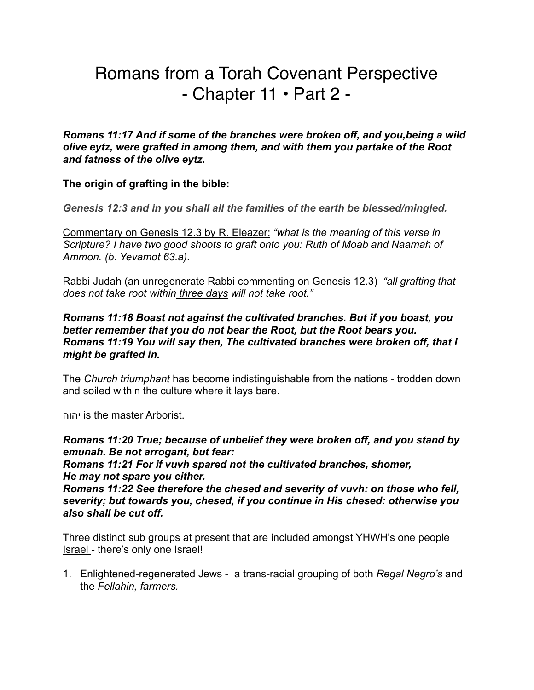# Romans from a Torah Covenant Perspective  $-$  Chapter 11  $\cdot$  Part 2 -

*Romans 11:17 And if some of the branches were broken off, and you,being a wild olive eytz, were grafted in among them, and with them you partake of the Root and fatness of the olive eytz.* 

## **The origin of grafting in the bible:**

*Genesis 12:3 and in you shall all the families of the earth be blessed/mingled.* 

Commentary on Genesis 12.3 by R. Eleazer: *"what is the meaning of this verse in Scripture? I have two good shoots to graft onto you: Ruth of Moab and Naamah of Ammon. (b. Yevamot 63.a).* 

Rabbi Judah (an unregenerate Rabbi commenting on Genesis 12.3) *"all grafting that does not take root within three days will not take root."* 

#### *Romans 11:18 Boast not against the cultivated branches. But if you boast, you better remember that you do not bear the Root, but the Root bears you. Romans 11:19 You will say then, The cultivated branches were broken off, that I might be grafted in.*

The *Church triumphant* has become indistinguishable from the nations - trodden down and soiled within the culture where it lays bare.

יהוה is the master Arborist.

*Romans 11:20 True; because of unbelief they were broken off, and you stand by emunah. Be not arrogant, but fear:* 

*Romans 11:21 For if vuvh spared not the cultivated branches, shomer, He may not spare you either.* 

*Romans 11:22 See therefore the chesed and severity of vuvh: on those who fell, severity; but towards you, chesed, if you continue in His chesed: otherwise you also shall be cut off.* 

Three distinct sub groups at present that are included amongst YHWH's one people Israel - there's only one Israel!

1. Enlightened-regenerated Jews - a trans-racial grouping of both *Regal Negro's* and the *Fellahin, farmers.*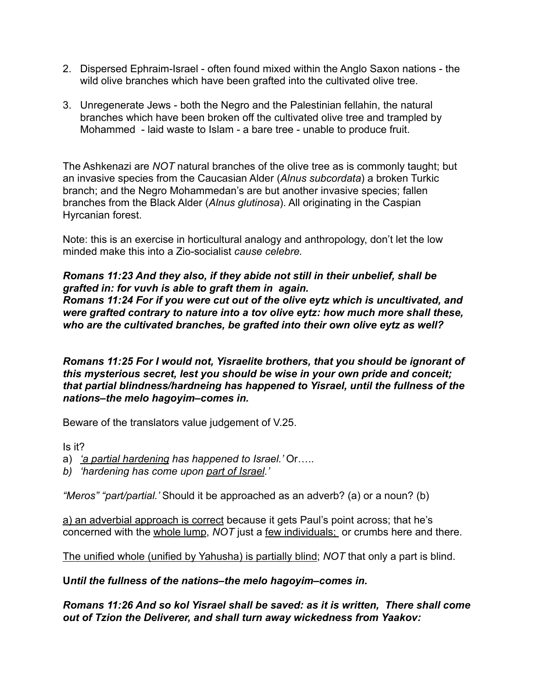- 2. Dispersed Ephraim-Israel often found mixed within the Anglo Saxon nations the wild olive branches which have been grafted into the cultivated olive tree.
- 3. Unregenerate Jews both the Negro and the Palestinian fellahin, the natural branches which have been broken off the cultivated olive tree and trampled by Mohammed - laid waste to Islam - a bare tree - unable to produce fruit.

The Ashkenazi are *NOT* natural branches of the olive tree as is commonly taught; but an invasive species from the Caucasian Alder (*Alnus subcordata*) a broken Turkic branch; and the Negro Mohammedan's are but another invasive species; fallen branches from the Black Alder (*Alnus glutinosa*). All originating in the Caspian Hyrcanian forest.

Note: this is an exercise in horticultural analogy and anthropology, don't let the low minded make this into a Zio-socialist *cause celebre.* 

## *Romans 11:23 And they also, if they abide not still in their unbelief, shall be grafted in: for vuvh is able to graft them in again.*

*Romans 11:24 For if you were cut out of the olive eytz which is uncultivated, and were grafted contrary to nature into a tov olive eytz: how much more shall these, who are the cultivated branches, be grafted into their own olive eytz as well?* 

*Romans 11:25 For I would not, Yisraelite brothers, that you should be ignorant of this mysterious secret, lest you should be wise in your own pride and conceit; that partial blindness/hardneing has happened to Yisrael, until the fullness of the nations–the melo hagoyim–comes in.*

Beware of the translators value judgement of V.25.

Is it?

- a) *'a partial hardening has happened to Israel.'* Or…..
- *b) 'hardening has come upon part of Israel.'*

*"Meros" "part/partial.'* Should it be approached as an adverb? (a) or a noun? (b)

a) an adverbial approach is correct because it gets Paul's point across; that he's concerned with the whole lump, *NOT* just a few individuals; or crumbs here and there.

The unified whole (unified by Yahusha) is partially blind; *NOT* that only a part is blind.

**U***ntil the fullness of the nations–the melo hagoyim–comes in.*

*Romans 11:26 And so kol Yisrael shall be saved: as it is written, There shall come out of Tzion the Deliverer, and shall turn away wickedness from Yaakov:*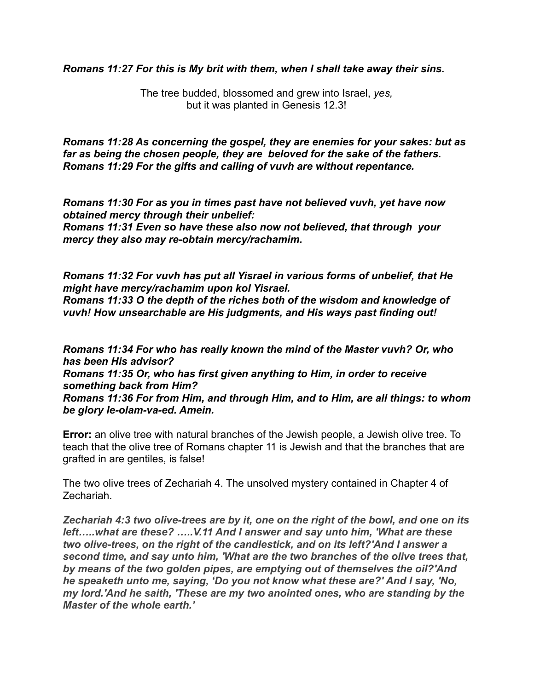*Romans 11:27 For this is My brit with them, when I shall take away their sins.* 

The tree budded, blossomed and grew into Israel, *yes,* but it was planted in Genesis 12.3!

*Romans 11:28 As concerning the gospel, they are enemies for your sakes: but as far as being the chosen people, they are beloved for the sake of the fathers. Romans 11:29 For the gifts and calling of vuvh are without repentance.* 

*Romans 11:30 For as you in times past have not believed vuvh, yet have now obtained mercy through their unbelief: Romans 11:31 Even so have these also now not believed, that through your mercy they also may re-obtain mercy/rachamim.* 

*Romans 11:32 For vuvh has put all Yisrael in various forms of unbelief, that He might have mercy/rachamim upon kol Yisrael.* 

*Romans 11:33 O the depth of the riches both of the wisdom and knowledge of vuvh! How unsearchable are His judgments, and His ways past finding out!* 

*Romans 11:34 For who has really known the mind of the Master vuvh? Or, who has been His advisor? Romans 11:35 Or, who has first given anything to Him, in order to receive something back from Him? Romans 11:36 For from Him, and through Him, and to Him, are all things: to whom be glory le-olam-va-ed. Amein.*

**Error:** an olive tree with natural branches of the Jewish people, a Jewish olive tree. To teach that the olive tree of Romans chapter 11 is Jewish and that the branches that are grafted in are gentiles, is false!

The two olive trees of Zechariah 4. The unsolved mystery contained in Chapter 4 of Zechariah.

*Zechariah 4:3 two olive-trees are by it, one on the right of the bowl, and one on its left…..what are these? …..V.11 And I answer and say unto him, 'What are these two olive-trees, on the right of the candlestick, and on its left?'And I answer a second time, and say unto him, 'What are the two branches of the olive trees that, by means of the two golden pipes, are emptying out of themselves the oil?'And he speaketh unto me, saying, 'Do you not know what these are?' And I say, 'No, my lord.'And he saith, 'These are my two anointed ones, who are standing by the Master of the whole earth.'*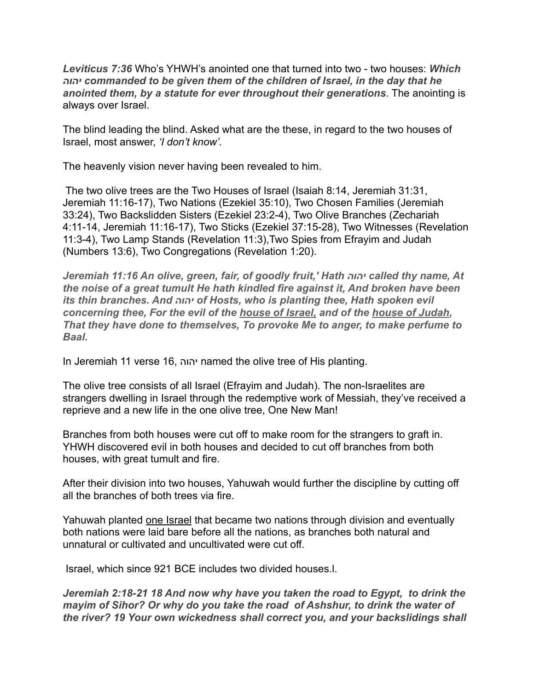*Leviticus 7:36* Who's YHWH's anointed one that turned into two - two houses: *Which יהוה commanded to be given them of the children of Israel, in the day that he anointed them, by a statute for ever throughout their generations*. The anointing is always over Israel.

The blind leading the blind. Asked what are the these, in regard to the two houses of Israel, most answer, *'I don't know'.* 

The heavenly vision never having been revealed to him.

 The two olive trees are the Two Houses of Israel (Isaiah 8:14, Jeremiah 31:31, Jeremiah 11:16-17), Two Nations (Ezekiel 35:10), Two Chosen Families (Jeremiah 33:24), Two Backslidden Sisters (Ezekiel 23:2-4), Two Olive Branches (Zechariah 4:11-14, Jeremiah 11:16-17), Two Sticks (Ezekiel 37:15-28), Two Witnesses (Revelation 11:3-4), Two Lamp Stands (Revelation 11:3),Two Spies from Efrayim and Judah (Numbers 13:6), Two Congregations (Revelation 1:20).

*Jeremiah 11:16 An olive, green, fair, of goodly fruit,' Hath יהוה called thy name, At the noise of a great tumult He hath kindled fire against it, And broken have been its thin branches. And יהוה of Hosts, who is planting thee, Hath spoken evil concerning thee, For the evil of the house of Israel, and of the house of Judah, That they have done to themselves, To provoke Me to anger, to make perfume to Baal.*

In Jeremiah 11 verse 16, יהוה named the olive tree of His planting.

The olive tree consists of all Israel (Efrayim and Judah). The non-Israelites are strangers dwelling in Israel through the redemptive work of Messiah, they've received a reprieve and a new life in the one olive tree, One New Man!

Branches from both houses were cut off to make room for the strangers to graft in. YHWH discovered evil in both houses and decided to cut off branches from both houses, with great tumult and fire.

After their division into two houses, Yahuwah would further the discipline by cutting off all the branches of both trees via fire.

Yahuwah planted one Israel that became two nations through division and eventually both nations were laid bare before all the nations, as branches both natural and unnatural or cultivated and uncultivated were cut off.

Israel, which since 921 BCE includes two divided houses.l.

*Jeremiah 2:18-21 18 And now why have you taken the road to Egypt, to drink the mayim of Sihor? Or why do you take the road of Ashshur, to drink the water of the river? 19 Your own wickedness shall correct you, and your backslidings shall*